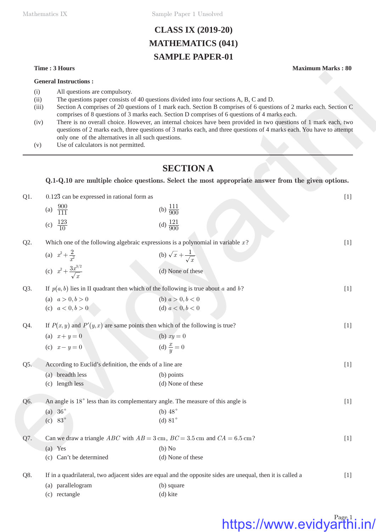Mathematics IX Sample Paper 1 Unsolved

# **CLASS IX (2019-20) MATHEMATICS (041) SAMPLE PAPER-01**

#### **Time : 3 Hours Maximum Marks : 80**

- (i) All questions are compulsory.
- (ii) The questions paper consists of 40 questions divided into four sections A, B, C and D.
- (iii) Section A comprises of 20 questions of 1 mark each. Section B comprises of 6 questions of 2 marks each. Section C comprises of 8 questions of 3 marks each. Section D comprises of 6 questions of 4 marks each.
- (iv) There is no overall choice. However, an internal choices have been provided in two questions of 1 mark each, two questions of 2 marks each, three questions of 3 marks each, and three questions of 4 marks each. You have to attempt only one of the alternatives in all such questions.
- (v) Use of calculators is not permitted.

## **SECTION A**

| (i)<br>(ii)<br>(iii)<br>(iv)<br>(v) | All questions are compulsory.<br>only one of the alternatives in all such questions.<br>Use of calculators is not permitted. | The questions paper consists of 40 questions divided into four sections A, B, C and D.<br>Section A comprises of 20 questions of 1 mark each. Section B comprises of 6 questions of 2 marks each. Section C<br>comprises of 8 questions of 3 marks each. Section D comprises of 6 questions of 4 marks each.<br>There is no overall choice. However, an internal choices have been provided in two questions of 1 mark each, two<br>questions of 2 marks each, three questions of 3 marks each, and three questions of 4 marks each. You have to attempt |       |  |  |
|-------------------------------------|------------------------------------------------------------------------------------------------------------------------------|----------------------------------------------------------------------------------------------------------------------------------------------------------------------------------------------------------------------------------------------------------------------------------------------------------------------------------------------------------------------------------------------------------------------------------------------------------------------------------------------------------------------------------------------------------|-------|--|--|
|                                     |                                                                                                                              | <b>SECTION A</b>                                                                                                                                                                                                                                                                                                                                                                                                                                                                                                                                         |       |  |  |
|                                     |                                                                                                                              | Q.1-Q.10 are multiple choice questions. Select the most appropriate answer from the given options.                                                                                                                                                                                                                                                                                                                                                                                                                                                       |       |  |  |
| $Q1$ .                              | $0.12\overline{3}$ can be expressed in rational form as                                                                      |                                                                                                                                                                                                                                                                                                                                                                                                                                                                                                                                                          | $[1]$ |  |  |
|                                     | (a) $\frac{900}{111}$                                                                                                        | (b) $\frac{111}{900}$                                                                                                                                                                                                                                                                                                                                                                                                                                                                                                                                    |       |  |  |
|                                     | (c) $\frac{123}{10}$                                                                                                         | (d) $\frac{121}{900}$                                                                                                                                                                                                                                                                                                                                                                                                                                                                                                                                    |       |  |  |
| Q2.                                 |                                                                                                                              | Which one of the following algebraic expressions is a polynomial in variable $x$ ?                                                                                                                                                                                                                                                                                                                                                                                                                                                                       | $[1]$ |  |  |
|                                     | (a) $x^2 + \frac{2}{x^2}$                                                                                                    | (b) $\sqrt{x} + \frac{1}{\sqrt{x}}$                                                                                                                                                                                                                                                                                                                                                                                                                                                                                                                      |       |  |  |
|                                     | (c) $x^2 + \frac{3x^{3/2}}{\sqrt{x}}$                                                                                        | (d) None of these                                                                                                                                                                                                                                                                                                                                                                                                                                                                                                                                        |       |  |  |
| Q3.                                 |                                                                                                                              | If $p(a, b)$ lies in II quadrant then which of the following is true about a and b?                                                                                                                                                                                                                                                                                                                                                                                                                                                                      | $[1]$ |  |  |
|                                     | (a) $a > 0, b > 0$                                                                                                           | (b) $a > 0, b < 0$                                                                                                                                                                                                                                                                                                                                                                                                                                                                                                                                       |       |  |  |
|                                     | (c) $a < 0, b > 0$                                                                                                           | (d) $a < 0, b < 0$                                                                                                                                                                                                                                                                                                                                                                                                                                                                                                                                       |       |  |  |
| Q4.                                 | If $P(x, y)$ and $P'(y, x)$ are same points then which of the following is true?                                             | $[1]$                                                                                                                                                                                                                                                                                                                                                                                                                                                                                                                                                    |       |  |  |
|                                     | (a) $x + y = 0$                                                                                                              | (b) $xy = 0$                                                                                                                                                                                                                                                                                                                                                                                                                                                                                                                                             |       |  |  |
|                                     | (c) $x - y = 0$                                                                                                              | (d) $\frac{x}{y} = 0$                                                                                                                                                                                                                                                                                                                                                                                                                                                                                                                                    |       |  |  |
| Q5.                                 | According to Euclid's definition, the ends of a line are                                                                     |                                                                                                                                                                                                                                                                                                                                                                                                                                                                                                                                                          | $[1]$ |  |  |
|                                     | (a) breadth less                                                                                                             | (b) points                                                                                                                                                                                                                                                                                                                                                                                                                                                                                                                                               |       |  |  |
|                                     | (c) length less                                                                                                              | (d) None of these                                                                                                                                                                                                                                                                                                                                                                                                                                                                                                                                        |       |  |  |
| Q6.                                 |                                                                                                                              | An angle is 18° less than its complementary angle. The measure of this angle is                                                                                                                                                                                                                                                                                                                                                                                                                                                                          | $[1]$ |  |  |
|                                     | (a) $36^\circ$                                                                                                               | (b) $48^\circ$                                                                                                                                                                                                                                                                                                                                                                                                                                                                                                                                           |       |  |  |
|                                     | (c) $83^{\circ}$                                                                                                             | (d) $81^\circ$                                                                                                                                                                                                                                                                                                                                                                                                                                                                                                                                           |       |  |  |
| Q7.                                 |                                                                                                                              | Can we draw a triangle <i>ABC</i> with $AB = 3$ cm, $BC = 3.5$ cm and $CA = 6.5$ cm?                                                                                                                                                                                                                                                                                                                                                                                                                                                                     | $[1]$ |  |  |
|                                     | $(a)$ Yes                                                                                                                    | (b) No                                                                                                                                                                                                                                                                                                                                                                                                                                                                                                                                                   |       |  |  |
|                                     | (c) Can't be determined                                                                                                      | (d) None of these                                                                                                                                                                                                                                                                                                                                                                                                                                                                                                                                        |       |  |  |
| Q8.                                 |                                                                                                                              | If in a quadrilateral, two adjacent sides are equal and the opposite sides are unequal, then it is called a                                                                                                                                                                                                                                                                                                                                                                                                                                              | $[1]$ |  |  |
|                                     | (a) parallelogram                                                                                                            | (b) square                                                                                                                                                                                                                                                                                                                                                                                                                                                                                                                                               |       |  |  |
|                                     | (c) rectangle                                                                                                                | (d) kite                                                                                                                                                                                                                                                                                                                                                                                                                                                                                                                                                 |       |  |  |

# https://www.evidyarthi.in/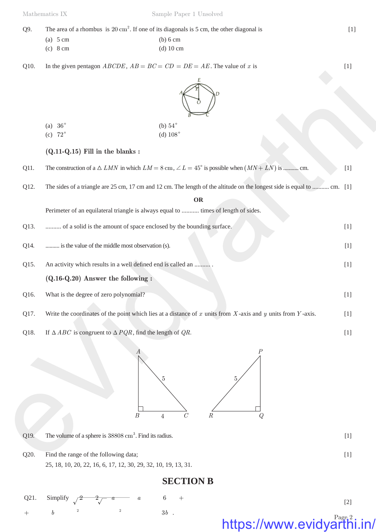| Q9. | The area of a rhombus is $20 \text{ cm}^2$ . If one of its diagonals is 5 cm, the other diagonal is |            |  |
|-----|-----------------------------------------------------------------------------------------------------|------------|--|
|     | (a) $5 \text{ cm}$                                                                                  | $(b) 6$ cm |  |

(c) 8 cm (d) 10 cm

Q10. In the given pentagon  $ABCDE$ ,  $AB = BC = CD = DE = AE$ . The value of *x* is [1]



|   | (a) $36^\circ$ | (b) $54^\circ$             |
|---|----------------|----------------------------|
| . | $- - -$        | $\cdots$ $\cdots$ $\cdots$ |

### **(Q.11-Q.15) Fill in the blanks :**

|      | (b) $54^\circ$<br>(a) $36^\circ$<br>(d) $108^\circ$<br>(c) $72^\circ$                                                    |       |
|------|--------------------------------------------------------------------------------------------------------------------------|-------|
|      | $(Q.11-Q.15)$ Fill in the blanks:                                                                                        |       |
| Q11. | The construction of a $\triangle$ LMN in which $LM = 8$ cm, $\angle L = 45^{\circ}$ is possible when $(MN + LN)$ is  cm. | $[1]$ |
| Q12. | The sides of a triangle are 25 cm, 17 cm and 12 cm. The length of the altitude on the longest side is equal to  cm. [1]  |       |
|      | <b>OR</b><br>Perimeter of an equilateral triangle is always equal to  times of length of sides.                          |       |
| Q13. | of a solid is the amount of space enclosed by the bounding surface.                                                      | $[1]$ |
| Q14. | is the value of the middle most observation (s).                                                                         | $[1]$ |
| Q15. | An activity which results in a well defined end is called an                                                             | $[1]$ |
|      | $(Q.16-Q.20)$ Answer the following :                                                                                     |       |
| Q16. | What is the degree of zero polynomial?                                                                                   | $[1]$ |
| Q17. | Write the coordinates of the point which lies at a distance of $x$ units from $X$ -axis and $y$ units from $Y$ -axis.    | $[1]$ |
| Q18. | If $\triangle ABC$ is congruent to $\triangle PQR$ , find the length of QR.                                              | $[1]$ |
|      | $\boldsymbol{P}$<br>А<br>5<br>$\boldsymbol{B}$<br>$\mathcal{C}_{0}^{0}$<br>$\cal R$<br>$\,4\,$<br>Q                      |       |
| Q19. | The volume of a sphere is 38808 cm <sup>3</sup> . Find its radius.                                                       | $[1]$ |
| Q20. | Find the range of the following data;                                                                                    | $[1]$ |
|      |                                                                                                                          |       |



Q20. Find the range of the following data; [1] 25, 18, 10, 20, 22, 16, 6, 17, 12, 30, 29, 32, 10, 19, 13, 31.

# **SECTION B**

Q21. Simplify  $\sqrt{2}$  2  $\sqrt{a}$  a 6 + + *b*  $2 \hspace{3.1em} 3b$  . https://www.evidyarthi.in/ [2]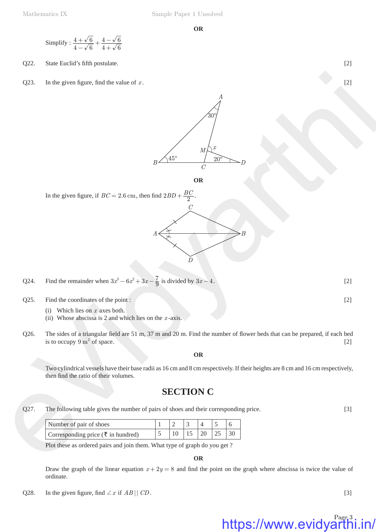Simplify : 
$$
\frac{4+\sqrt{6}}{4-\sqrt{6}} + \frac{4-\sqrt{6}}{4+\sqrt{6}}
$$

Q22. State Euclid's fifth postulate. [2]

Q23. In the given figure, find the value of  $x$ . [2]





In the given figure, if  $BC = 2.6$  cm, then find  $2BD + \frac{BC}{2}$ 



- Q25. Find the coordinates of the point : [2]
	- (i) Which lies on *x* axes both.
	- (ii) Whose abscissa is 2 and which lies on the *x* -axis.
- Q26. The sides of a triangular field are 51 m, 37 m and 20 m. Find the number of flower beds that can be prepared, if each bed is to occupy  $9 \text{ m}^2$  of space.  $\sigma$  of space. [2]

#### **OR**

Two cylindrical vessels have their base radii as 16 cm and 8 cm respectively. If their heights are 8 cm and 16 cm respectively, then find the ratio of their volumes.

### **SECTION C**

Q27. The following table gives the number of pairs of shoes and their corresponding price. [3]

| Number of pair of shoes            |  |                  |  |
|------------------------------------|--|------------------|--|
| Corresponding price (₹ in hundred) |  | $\vert 20 \vert$ |  |

Plot these as ordered pairs and join them. What type of graph do you get ?

**OR**

Draw the graph of the linear equation  $x + 2y = 8$  and find the point on the graph where abscissa is twice the value of ordinate.

Q28. In the given figure, find  $\angle x$  if  $AB \parallel CD$ . [3]

# https://www.evidyarthi.in/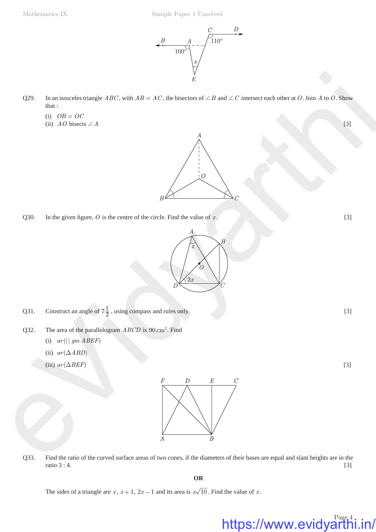

- Q29. In an isosceles triangle *ABC*, with  $AB = AC$ , the bisectors of  $\angle B$  and  $\angle C$  intersect each other at *O*. Join *A* to *O*. Show that :
	- $(i)$   $OB = OC$
	- (ii)  $AO$  bisects  $\angle A$  [3]



Q30. In the given figure,  $O$  is the centre of the circle. Find the value of  $x$ . [3]



```
Q31. Construct an angle of 7\frac{1}{2}, using compass and rules only. [3]
```
- Q32. The area of the parallelogram  $ABCD$  is 90 cm<sup>2</sup>. Find
	- (i)  $ar(||gmABEF)$
	- (ii)  $ar(\triangle ABD)$
	- (iii)  $ar(\Delta BEF)$  [3]



Q33. Find the ratio of the curved surface areas of two cones, if the diameters of their bases are equal and slant heights are in the  $r \text{ ratio } 3:4.$  [3]

**OR**

The sides of a triangle are  $x$ ,  $x + 1$ ,  $2x - 1$  and its area is  $x\sqrt{10}$ . Find the value of  $x$ .

https://www.evidyarthi.in/